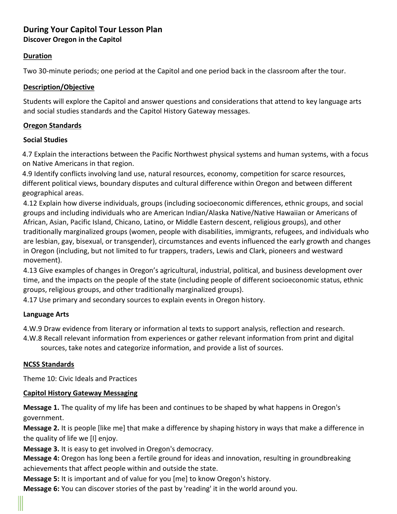# **During Your Capitol Tour Lesson Plan Discover Oregon in the Capitol**

#### **Duration**

Two 30-minute periods; one period at the Capitol and one period back in the classroom after the tour.

#### **Description/Objective**

Students will explore the Capitol and answer questions and considerations that attend to key language arts and social studies standards and the Capitol History Gateway messages.

#### **Oregon Standards**

#### **Social Studies**

4.7 Explain the interactions between the Pacific Northwest physical systems and human systems, with a focus on Native Americans in that region.

4.9 Identify conflicts involving land use, natural resources, economy, competition for scarce resources, different political views, boundary disputes and cultural difference within Oregon and between different geographical areas.

4.12 Explain how diverse individuals, groups (including socioeconomic differences, ethnic groups, and social groups and including individuals who are American Indian/Alaska Native/Native Hawaiian or Americans of African, Asian, Pacific Island, Chicano, Latino, or Middle Eastern descent, religious groups), and other traditionally marginalized groups (women, people with disabilities, immigrants, refugees, and individuals who are lesbian, gay, bisexual, or transgender), circumstances and events influenced the early growth and changes in Oregon (including, but not limited to fur trappers, traders, Lewis and Clark, pioneers and westward movement).

4.13 Give examples of changes in Oregon's agricultural, industrial, political, and business development over time, and the impacts on the people of the state (including people of different socioeconomic status, ethnic groups, religious groups, and other traditionally marginalized groups).

4.17 Use primary and secondary sources to explain events in Oregon history.

#### **Language Arts**

4.W.9 Draw evidence from literary or information al texts to support analysis, reflection and research.

4.W.8 Recall relevant information from experiences or gather relevant information from print and digital sources, take notes and categorize information, and provide a list of sources.

#### **NCSS Standards**

Theme 10: Civic Ideals and Practices

#### **Capitol History Gateway Messaging**

**Message 1.** The quality of my life has been and continues to be shaped by what happens in Oregon's government.

**Message 2.** It is people [like me] that make a difference by shaping history in ways that make a difference in the quality of life we [I] enjoy.

**Message 3.** It is easy to get involved in Oregon's democracy.

**Message 4:** Oregon has long been a fertile ground for ideas and innovation, resulting in groundbreaking achievements that affect people within and outside the state.

**Message 5:** It is important and of value for you [me] to know Oregon's history.

**Message 6:** You can discover stories of the past by 'reading' it in the world around you.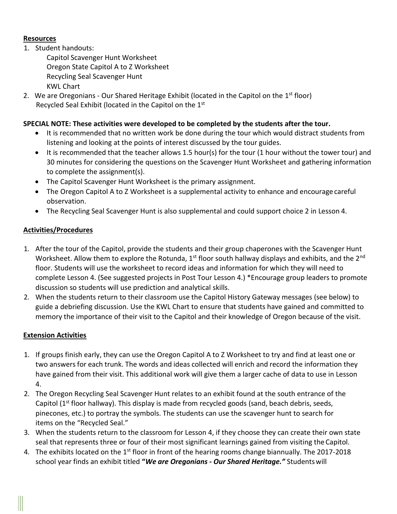#### **Resources**

1. Student handouts:

Capitol Scavenger Hunt Worksheet Oregon State Capitol A to Z Worksheet Recycling Seal Scavenger Hunt KWL Chart

2. We are Oregonians - Our Shared Heritage Exhibit (located in the Capitol on the  $1<sup>st</sup>$  floor) Recycled Seal Exhibit (located in the Capitol on the 1st

# **SPECIAL NOTE: These activities were developed to be completed by the students after the tour.**

- It is recommended that no written work be done during the tour which would distract students from listening and looking at the points of interest discussed by the tour guides.
- It is recommended that the teacher allows 1.5 hour(s) for the tour (1 hour without the tower tour) and 30 minutes for considering the questions on the Scavenger Hunt Worksheet and gathering information to complete the assignment(s).
- The Capitol Scavenger Hunt Worksheet is the primary assignment.
- The Oregon Capitol A to Z Worksheet is a supplemental activity to enhance and encourage careful observation.
- The Recycling Seal Scavenger Hunt is also supplemental and could support choice 2 in Lesson 4.

# **Activities/Procedures**

- 1. After the tour of the Capitol, provide the students and their group chaperones with the Scavenger Hunt Worksheet. Allow them to explore the Rotunda,  $1<sup>st</sup>$  floor south hallway displays and exhibits, and the  $2<sup>nd</sup>$ floor. Students will use the worksheet to record ideas and information for which they will need to complete Lesson 4. (See suggested projects in Post Tour Lesson 4.) \*Encourage group leaders to promote discussion so students will use prediction and analytical skills.
- 2. When the students return to their classroom use the Capitol History Gateway messages (see below) to guide a debriefing discussion. Use the KWL Chart to ensure that students have gained and committed to memory the importance of their visit to the Capitol and their knowledge of Oregon because of the visit.

# **Extension Activities**

- 1. If groups finish early, they can use the Oregon Capitol A to Z Worksheet to try and find at least one or two answers for each trunk. The words and ideas collected will enrich and record the information they have gained from their visit. This additional work will give them a larger cache of data to use in Lesson 4.
- 2. The Oregon Recycling Seal Scavenger Hunt relates to an exhibit found at the south entrance of the Capitol (1<sup>st</sup> floor hallway). This display is made from recycled goods (sand, beach debris, seeds, pinecones, etc.) to portray the symbols. The students can use the scavenger hunt to search for items on the "Recycled Seal."
- 3. When the students return to the classroom for Lesson 4, if they choose they can create their own state seal that represents three or four of their most significant learnings gained from visiting the Capitol.
- 4. The exhibits located on the  $1<sup>st</sup>$  floor in front of the hearing rooms change biannually. The 2017-2018 school year finds an exhibit titled **"***We are Oregonians - Our Shared Heritage."* Studentswill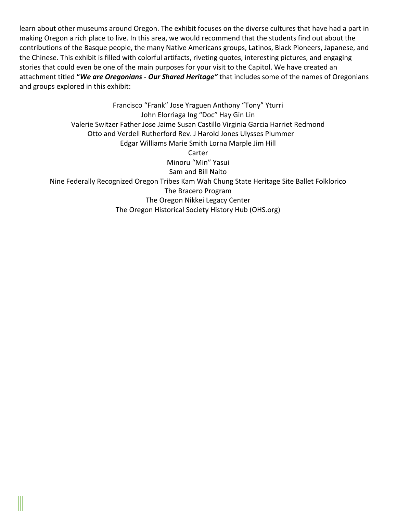learn about other museums around Oregon. The exhibit focuses on the diverse cultures that have had a part in making Oregon a rich place to live. In this area, we would recommend that the students find out about the contributions of the Basque people, the many Native Americans groups, Latinos, Black Pioneers, Japanese, and the Chinese. This exhibit is filled with colorful artifacts, riveting quotes, interesting pictures, and engaging stories that could even be one of the main purposes for your visit to the Capitol. We have created an attachment titled **"***We are Oregonians - Our Shared Heritage"* that includes some of the names of Oregonians and groups explored in this exhibit:

Francisco "Frank" Jose Yraguen Anthony "Tony" Yturri John Elorriaga Ing "Doc" Hay Gin Lin Valerie Switzer Father Jose Jaime Susan Castillo Virginia Garcia Harriet Redmond Otto and Verdell Rutherford Rev. J Harold Jones Ulysses Plummer Edgar Williams Marie Smith Lorna Marple Jim Hill Carter Minoru "Min" Yasui Sam and Bill Naito Nine Federally Recognized Oregon Tribes Kam Wah Chung State Heritage Site Ballet Folklorico The Bracero Program The Oregon Nikkei Legacy Center The Oregon Historical Society History Hub (OHS.org)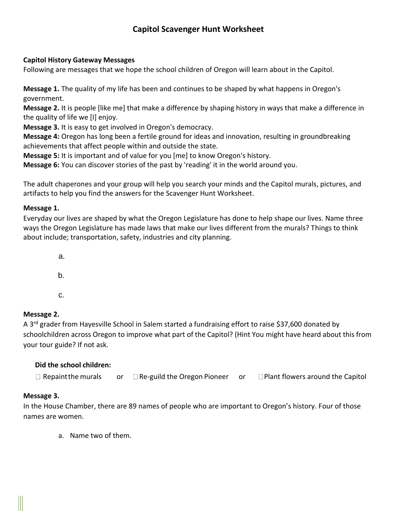# **Capitol Scavenger Hunt Worksheet**

#### **Capitol History Gateway Messages**

Following are messages that we hope the school children of Oregon will learn about in the Capitol.

**Message 1.** The quality of my life has been and continues to be shaped by what happens in Oregon's government.

**Message 2.** It is people [like me] that make a difference by shaping history in ways that make a difference in the quality of life we [I] enjoy.

**Message 3.** It is easy to get involved in Oregon's democracy.

**Message 4:** Oregon has long been a fertile ground for ideas and innovation, resulting in groundbreaking achievements that affect people within and outside the state.

**Message 5:** It is important and of value for you [me] to know Oregon's history.

**Message 6:** You can discover stories of the past by 'reading' it in the world around you.

The adult chaperones and your group will help you search your minds and the Capitol murals, pictures, and artifacts to help you find the answers for the Scavenger Hunt Worksheet.

#### **Message 1.**

Everyday our lives are shaped by what the Oregon Legislature has done to help shape our lives. Name three ways the Oregon Legislature has made laws that make our lives different from the murals? Things to think about include; transportation, safety, industries and city planning.

> a. b.

c.

# **Message 2.**

A 3<sup>rd</sup> grader from Hayesville School in Salem started a fundraising effort to raise \$37,600 donated by schoolchildren across Oregon to improve what part of the Capitol? (Hint You might have heard about this from your tour guide? If not ask.

# **Did the school children:**

 $\Box$  Repaint the murals or  $\Box$  Re-guild the Oregon Pioneer or  $\Box$  Plant flowers around the Capitol

# **Message 3.**

In the House Chamber, there are 89 names of people who are important to Oregon's history. Four of those names are women.

a. Name two of them.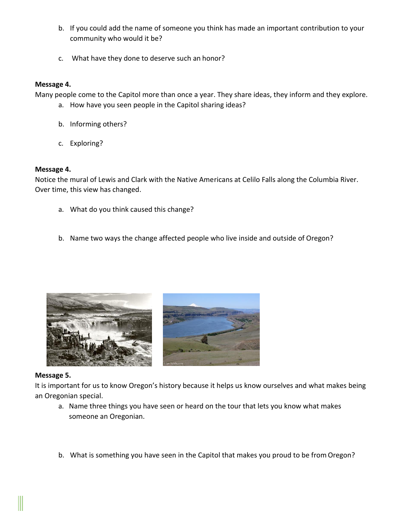- b. If you could add the name of someone you think has made an important contribution to your community who would it be?
- c. What have they done to deserve such an honor?

#### **Message 4.**

Many people come to the Capitol more than once a year. They share ideas, they inform and they explore.

- a. How have you seen people in the Capitol sharing ideas?
- b. Informing others?
- c. Exploring?

#### **Message 4.**

Notice the mural of Lewis and Clark with the Native Americans at Celilo Falls along the Columbia River. Over time, this view has changed.

- a. What do you think caused this change?
- b. Name two ways the change affected people who live inside and outside of Oregon?





#### **Message 5.**

It is important for us to know Oregon's history because it helps us know ourselves and what makes being an Oregonian special.

- a. Name three things you have seen or heard on the tour that lets you know what makes someone an Oregonian.
- b. What is something you have seen in the Capitol that makes you proud to be from Oregon?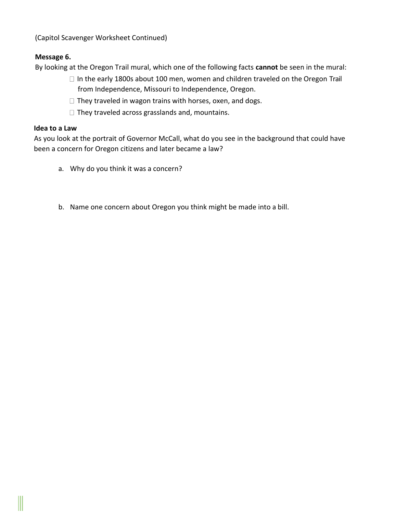(Capitol Scavenger Worksheet Continued)

# **Message 6.**

By looking at the Oregon Trail mural, which one of the following facts **cannot** be seen in the mural:

- $\Box$  In the early 1800s about 100 men, women and children traveled on the Oregon Trail from Independence, Missouri to Independence, Oregon.
- $\Box$  They traveled in wagon trains with horses, oxen, and dogs.
- $\Box$  They traveled across grasslands and, mountains.

# **Idea to a Law**

As you look at the portrait of Governor McCall, what do you see in the background that could have been a concern for Oregon citizens and later became a law?

- a. Why do you think it was a concern?
- b. Name one concern about Oregon you think might be made into a bill.